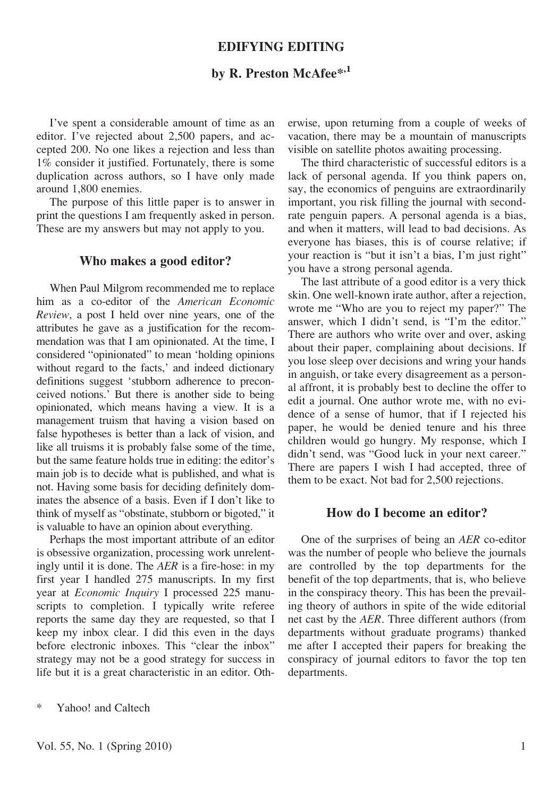### EDIFYING EDITING

### by R. Preston McAfee<sup>\*,1</sup>

I've spent a considerable amount of time as an editor. I've rejected about 2,500 papers, and accepted 200. No one likes a rejection and less than 1% consider it justified. Fortunately, there is some duplication across authors, so I have only made around 1,800 enemies.

The purpose of this little paper is to answer in print the questions I am frequently asked in person. These are my answers but may not apply to you.

#### Who makes a good editor?

When Paul Milgrom recommended me to replace him as a co-editor of the American Economic Review, a post I held over nine years, one of the attributes he gave as a justification for the recommendation was that I am opinionated. At the time, I considered "opinionated" to mean 'holding opinions without regard to the facts,' and indeed dictionary definitions suggest 'stubborn adherence to preconceived notions.' But there is another side to being opinionated, which means having a view. It is a management truism that having a vision based on false hypotheses is better than a lack of vision, and like all truisms it is probably false some of the time, but the same feature holds true in editing: the editor's main job is to decide what is published, and what is not. Having some basis for deciding definitely dominates the absence of a basis. Even if I don't like to think of myself as "obstinate, stubborn or bigoted," it is valuable to have an opinion about everything.

Perhaps the most important attribute of an editor is obsessive organization, processing work unrelentingly until it is done. The AER is a fire-hose: in my first year I handled 275 manuscripts. In my first year at Economic Inquiry I processed 225 manuscripts to completion. I typically write referee reports the same day they are requested, so that I keep my inbox clear. I did this even in the days before electronic inboxes. This "clear the inbox" strategy may not be a good strategy for success in life but it is a great characteristic in an editor. Oth-

Yahoo! and Caltech

erwise, upon returning from a couple of weeks of vacation, there may be a mountain of manuscripts visible on satellite photos awaiting processing.

The third characteristic of successful editors is a lack of personal agenda. If you think papers on, say, the economics of penguins are extraordinarily important, you risk filling the journal with secondrate penguin papers. A personal agenda is a bias, and when it matters, will lead to bad decisions. As everyone has biases, this is of course relative; if your reaction is "but it isn't a bias, I'm just right" you have a strong personal agenda.

The last attribute of a good editor is a very thick skin. One well-known irate author, after a rejection, wrote me "Who are you to reject my paper?" The answer, which I didn't send, is "I'm the editor." There are authors who write over and over, asking about their paper, complaining about decisions. If you lose sleep over decisions and wring your hands in anguish, or take every disagreement as a personal affront, it is probably best to decline the offer to edit a journal. One author wrote me, with no evidence of a sense of humor, that if I rejected his paper, he would be denied tenure and his three children would go hungry. My response, which I didn't send, was "Good luck in your next career." There are papers I wish I had accepted, three of them to be exact. Not bad for 2,500 rejections.

#### How do I become an editor?

One of the surprises of being an AER co-editor was the number of people who believe the journals are controlled by the top departments for the benefit of the top departments, that is, who believe in the conspiracy theory. This has been the prevailing theory of authors in spite of the wide editorial net cast by the AER. Three different authors (from departments without graduate programs) thanked me after I accepted their papers for breaking the conspiracy of journal editors to favor the top ten departments.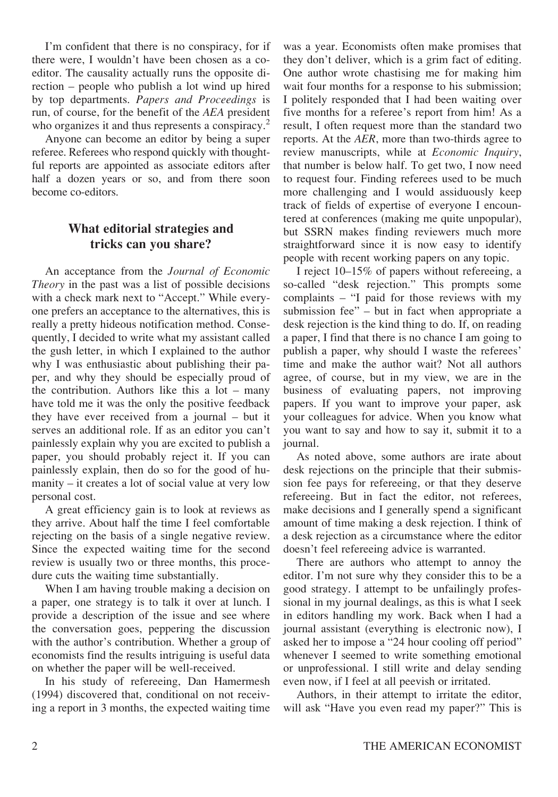I'm confident that there is no conspiracy, for if there were, I wouldn't have been chosen as a coeditor. The causality actually runs the opposite direction – people who publish a lot wind up hired by top departments. Papers and Proceedings is run, of course, for the benefit of the AEA president who organizes it and thus represents a conspiracy.<sup>2</sup>

Anyone can become an editor by being a super referee. Referees who respond quickly with thoughtful reports are appointed as associate editors after half a dozen years or so, and from there soon become co-editors.

# What editorial strategies and tricks can you share?

An acceptance from the Journal of Economic Theory in the past was a list of possible decisions with a check mark next to "Accept." While everyone prefers an acceptance to the alternatives, this is really a pretty hideous notification method. Consequently, I decided to write what my assistant called the gush letter, in which I explained to the author why I was enthusiastic about publishing their paper, and why they should be especially proud of the contribution. Authors like this a lot – many have told me it was the only the positive feedback they have ever received from a journal – but it serves an additional role. If as an editor you can't painlessly explain why you are excited to publish a paper, you should probably reject it. If you can painlessly explain, then do so for the good of humanity – it creates a lot of social value at very low personal cost.

A great efficiency gain is to look at reviews as they arrive. About half the time I feel comfortable rejecting on the basis of a single negative review. Since the expected waiting time for the second review is usually two or three months, this procedure cuts the waiting time substantially.

When I am having trouble making a decision on a paper, one strategy is to talk it over at lunch. I provide a description of the issue and see where the conversation goes, peppering the discussion with the author's contribution. Whether a group of economists find the results intriguing is useful data on whether the paper will be well-received.

In his study of refereeing, Dan Hamermesh (1994) discovered that, conditional on not receiving a report in 3 months, the expected waiting time was a year. Economists often make promises that they don't deliver, which is a grim fact of editing. One author wrote chastising me for making him wait four months for a response to his submission; I politely responded that I had been waiting over five months for a referee's report from him! As a result, I often request more than the standard two reports. At the AER, more than two-thirds agree to review manuscripts, while at Economic Inquiry, that number is below half. To get two, I now need to request four. Finding referees used to be much more challenging and I would assiduously keep track of fields of expertise of everyone I encountered at conferences (making me quite unpopular), but SSRN makes finding reviewers much more straightforward since it is now easy to identify people with recent working papers on any topic.

I reject 10–15% of papers without refereeing, a so-called "desk rejection." This prompts some complaints – "I paid for those reviews with my submission fee" – but in fact when appropriate a desk rejection is the kind thing to do. If, on reading a paper, I find that there is no chance I am going to publish a paper, why should I waste the referees' time and make the author wait? Not all authors agree, of course, but in my view, we are in the business of evaluating papers, not improving papers. If you want to improve your paper, ask your colleagues for advice. When you know what you want to say and how to say it, submit it to a journal.

As noted above, some authors are irate about desk rejections on the principle that their submission fee pays for refereeing, or that they deserve refereeing. But in fact the editor, not referees, make decisions and I generally spend a significant amount of time making a desk rejection. I think of a desk rejection as a circumstance where the editor doesn't feel refereeing advice is warranted.

There are authors who attempt to annoy the editor. I'm not sure why they consider this to be a good strategy. I attempt to be unfailingly professional in my journal dealings, as this is what I seek in editors handling my work. Back when I had a journal assistant (everything is electronic now), I asked her to impose a "24 hour cooling off period" whenever I seemed to write something emotional or unprofessional. I still write and delay sending even now, if I feel at all peevish or irritated.

Authors, in their attempt to irritate the editor, will ask "Have you even read my paper?" This is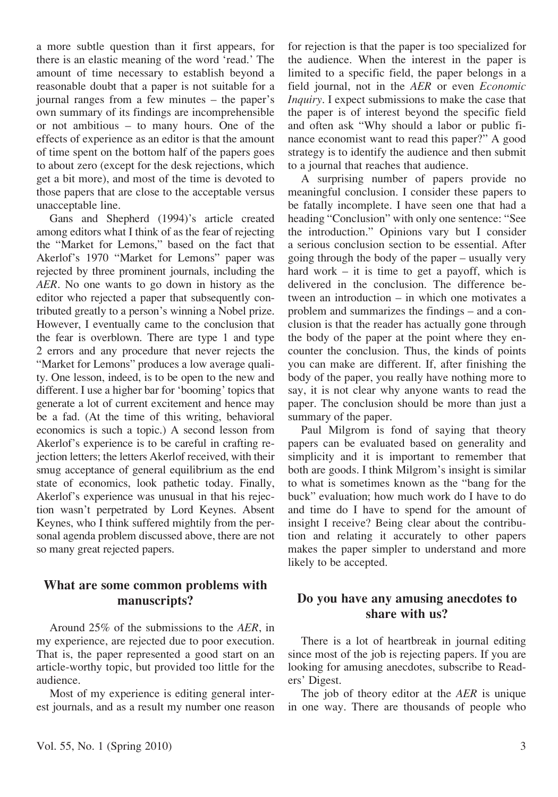a more subtle question than it first appears, for there is an elastic meaning of the word 'read.' The amount of time necessary to establish beyond a reasonable doubt that a paper is not suitable for a journal ranges from a few minutes – the paper's own summary of its findings are incomprehensible or not ambitious – to many hours. One of the effects of experience as an editor is that the amount of time spent on the bottom half of the papers goes to about zero (except for the desk rejections, which get a bit more), and most of the time is devoted to those papers that are close to the acceptable versus unacceptable line.

Gans and Shepherd (1994)'s article created among editors what I think of as the fear of rejecting the "Market for Lemons," based on the fact that Akerlof's 1970 "Market for Lemons" paper was rejected by three prominent journals, including the AER. No one wants to go down in history as the editor who rejected a paper that subsequently contributed greatly to a person's winning a Nobel prize. However, I eventually came to the conclusion that the fear is overblown. There are type 1 and type 2 errors and any procedure that never rejects the "Market for Lemons" produces a low average quality. One lesson, indeed, is to be open to the new and different. I use a higher bar for 'booming' topics that generate a lot of current excitement and hence may be a fad. (At the time of this writing, behavioral economics is such a topic.) A second lesson from Akerlof's experience is to be careful in crafting rejection letters; the letters Akerlof received, with their smug acceptance of general equilibrium as the end state of economics, look pathetic today. Finally, Akerlof's experience was unusual in that his rejection wasn't perpetrated by Lord Keynes. Absent Keynes, who I think suffered mightily from the personal agenda problem discussed above, there are not so many great rejected papers.

# What are some common problems with manuscripts?

Around 25% of the submissions to the AER, in my experience, are rejected due to poor execution. That is, the paper represented a good start on an article-worthy topic, but provided too little for the audience.

Most of my experience is editing general interest journals, and as a result my number one reason for rejection is that the paper is too specialized for the audience. When the interest in the paper is limited to a specific field, the paper belongs in a field journal, not in the AER or even Economic Inquiry. I expect submissions to make the case that the paper is of interest beyond the specific field and often ask "Why should a labor or public finance economist want to read this paper?" A good strategy is to identify the audience and then submit to a journal that reaches that audience.

A surprising number of papers provide no meaningful conclusion. I consider these papers to be fatally incomplete. I have seen one that had a heading "Conclusion" with only one sentence: "See the introduction." Opinions vary but I consider a serious conclusion section to be essential. After going through the body of the paper – usually very hard work – it is time to get a payoff, which is delivered in the conclusion. The difference between an introduction – in which one motivates a problem and summarizes the findings – and a conclusion is that the reader has actually gone through the body of the paper at the point where they encounter the conclusion. Thus, the kinds of points you can make are different. If, after finishing the body of the paper, you really have nothing more to say, it is not clear why anyone wants to read the paper. The conclusion should be more than just a summary of the paper.

Paul Milgrom is fond of saying that theory papers can be evaluated based on generality and simplicity and it is important to remember that both are goods. I think Milgrom's insight is similar to what is sometimes known as the "bang for the buck" evaluation; how much work do I have to do and time do I have to spend for the amount of insight I receive? Being clear about the contribution and relating it accurately to other papers makes the paper simpler to understand and more likely to be accepted.

## Do you have any amusing anecdotes to share with us?

There is a lot of heartbreak in journal editing since most of the job is rejecting papers. If you are looking for amusing anecdotes, subscribe to Readers' Digest.

The job of theory editor at the AER is unique in one way. There are thousands of people who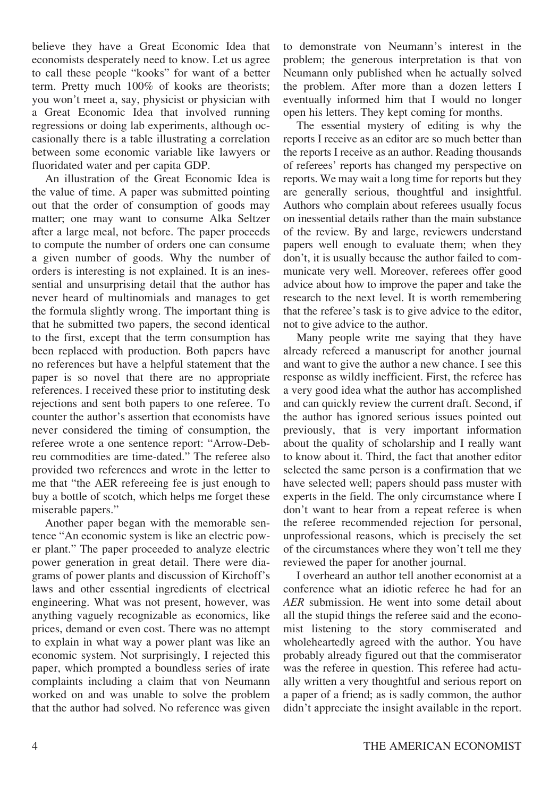believe they have a Great Economic Idea that economists desperately need to know. Let us agree to call these people "kooks" for want of a better term. Pretty much 100% of kooks are theorists; you won't meet a, say, physicist or physician with a Great Economic Idea that involved running regressions or doing lab experiments, although occasionally there is a table illustrating a correlation between some economic variable like lawyers or fluoridated water and per capita GDP.

An illustration of the Great Economic Idea is the value of time. A paper was submitted pointing out that the order of consumption of goods may matter; one may want to consume Alka Seltzer after a large meal, not before. The paper proceeds to compute the number of orders one can consume a given number of goods. Why the number of orders is interesting is not explained. It is an inessential and unsurprising detail that the author has never heard of multinomials and manages to get the formula slightly wrong. The important thing is that he submitted two papers, the second identical to the first, except that the term consumption has been replaced with production. Both papers have no references but have a helpful statement that the paper is so novel that there are no appropriate references. I received these prior to instituting desk rejections and sent both papers to one referee. To counter the author's assertion that economists have never considered the timing of consumption, the referee wrote a one sentence report: "Arrow-Debreu commodities are time-dated." The referee also provided two references and wrote in the letter to me that "the AER refereeing fee is just enough to buy a bottle of scotch, which helps me forget these miserable papers."

Another paper began with the memorable sentence "An economic system is like an electric power plant." The paper proceeded to analyze electric power generation in great detail. There were diagrams of power plants and discussion of Kirchoff's laws and other essential ingredients of electrical engineering. What was not present, however, was anything vaguely recognizable as economics, like prices, demand or even cost. There was no attempt to explain in what way a power plant was like an economic system. Not surprisingly, I rejected this paper, which prompted a boundless series of irate complaints including a claim that von Neumann worked on and was unable to solve the problem that the author had solved. No reference was given to demonstrate von Neumann's interest in the problem; the generous interpretation is that von Neumann only published when he actually solved the problem. After more than a dozen letters I eventually informed him that I would no longer open his letters. They kept coming for months.

The essential mystery of editing is why the reports I receive as an editor are so much better than the reports I receive as an author. Reading thousands of referees' reports has changed my perspective on reports. We may wait a long time for reports but they are generally serious, thoughtful and insightful. Authors who complain about referees usually focus on inessential details rather than the main substance of the review. By and large, reviewers understand papers well enough to evaluate them; when they don't, it is usually because the author failed to communicate very well. Moreover, referees offer good advice about how to improve the paper and take the research to the next level. It is worth remembering that the referee's task is to give advice to the editor, not to give advice to the author.

Many people write me saying that they have already refereed a manuscript for another journal and want to give the author a new chance. I see this response as wildly inefficient. First, the referee has a very good idea what the author has accomplished and can quickly review the current draft. Second, if the author has ignored serious issues pointed out previously, that is very important information about the quality of scholarship and I really want to know about it. Third, the fact that another editor selected the same person is a confirmation that we have selected well; papers should pass muster with experts in the field. The only circumstance where I don't want to hear from a repeat referee is when the referee recommended rejection for personal, unprofessional reasons, which is precisely the set of the circumstances where they won't tell me they reviewed the paper for another journal.

I overheard an author tell another economist at a conference what an idiotic referee he had for an AER submission. He went into some detail about all the stupid things the referee said and the economist listening to the story commiserated and wholeheartedly agreed with the author. You have probably already figured out that the commiserator was the referee in question. This referee had actually written a very thoughtful and serious report on a paper of a friend; as is sadly common, the author didn't appreciate the insight available in the report.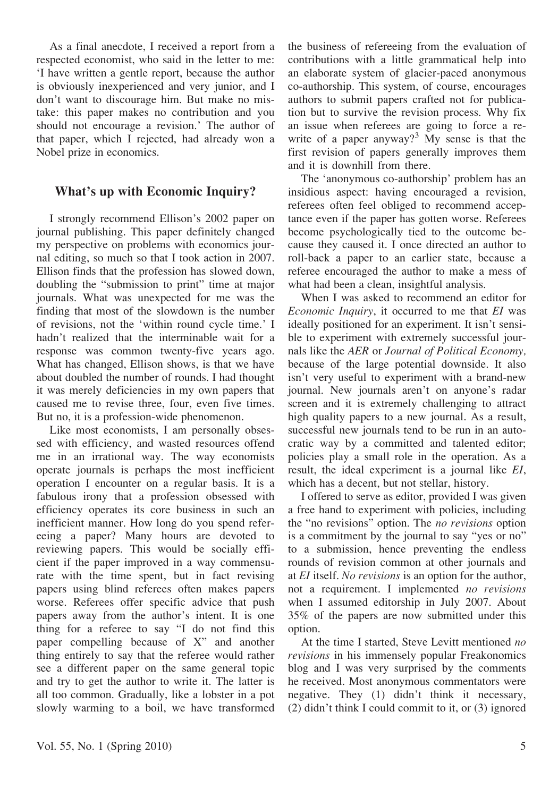As a final anecdote, I received a report from a respected economist, who said in the letter to me: 'I have written a gentle report, because the author is obviously inexperienced and very junior, and I don't want to discourage him. But make no mistake: this paper makes no contribution and you should not encourage a revision.' The author of that paper, which I rejected, had already won a Nobel prize in economics.

### What's up with Economic Inquiry?

I strongly recommend Ellison's 2002 paper on journal publishing. This paper definitely changed my perspective on problems with economics journal editing, so much so that I took action in 2007. Ellison finds that the profession has slowed down, doubling the "submission to print" time at major journals. What was unexpected for me was the finding that most of the slowdown is the number of revisions, not the 'within round cycle time.' I hadn't realized that the interminable wait for a response was common twenty-five years ago. What has changed, Ellison shows, is that we have about doubled the number of rounds. I had thought it was merely deficiencies in my own papers that caused me to revise three, four, even five times. But no, it is a profession-wide phenomenon.

Like most economists, I am personally obsessed with efficiency, and wasted resources offend me in an irrational way. The way economists operate journals is perhaps the most inefficient operation I encounter on a regular basis. It is a fabulous irony that a profession obsessed with efficiency operates its core business in such an inefficient manner. How long do you spend refereeing a paper? Many hours are devoted to reviewing papers. This would be socially efficient if the paper improved in a way commensurate with the time spent, but in fact revising papers using blind referees often makes papers worse. Referees offer specific advice that push papers away from the author's intent. It is one thing for a referee to say "I do not find this paper compelling because of X" and another thing entirely to say that the referee would rather see a different paper on the same general topic and try to get the author to write it. The latter is all too common. Gradually, like a lobster in a pot slowly warming to a boil, we have transformed the business of refereeing from the evaluation of contributions with a little grammatical help into an elaborate system of glacier-paced anonymous co-authorship. This system, of course, encourages authors to submit papers crafted not for publication but to survive the revision process. Why fix an issue when referees are going to force a rewrite of a paper anyway?<sup>3</sup> My sense is that the first revision of papers generally improves them and it is downhill from there.

The 'anonymous co-authorship' problem has an insidious aspect: having encouraged a revision, referees often feel obliged to recommend acceptance even if the paper has gotten worse. Referees become psychologically tied to the outcome because they caused it. I once directed an author to roll-back a paper to an earlier state, because a referee encouraged the author to make a mess of what had been a clean, insightful analysis.

When I was asked to recommend an editor for Economic Inquiry, it occurred to me that EI was ideally positioned for an experiment. It isn't sensible to experiment with extremely successful journals like the AER or Journal of Political Economy, because of the large potential downside. It also isn't very useful to experiment with a brand-new journal. New journals aren't on anyone's radar screen and it is extremely challenging to attract high quality papers to a new journal. As a result, successful new journals tend to be run in an autocratic way by a committed and talented editor; policies play a small role in the operation. As a result, the ideal experiment is a journal like EI, which has a decent, but not stellar, history.

I offered to serve as editor, provided I was given a free hand to experiment with policies, including the "no revisions" option. The *no revisions* option is a commitment by the journal to say "yes or no" to a submission, hence preventing the endless rounds of revision common at other journals and at *EI* itself. *No revisions* is an option for the author, not a requirement. I implemented no revisions when I assumed editorship in July 2007. About 35% of the papers are now submitted under this option.

At the time I started, Steve Levitt mentioned no revisions in his immensely popular Freakonomics blog and I was very surprised by the comments he received. Most anonymous commentators were negative. They (1) didn't think it necessary, (2) didn't think I could commit to it, or (3) ignored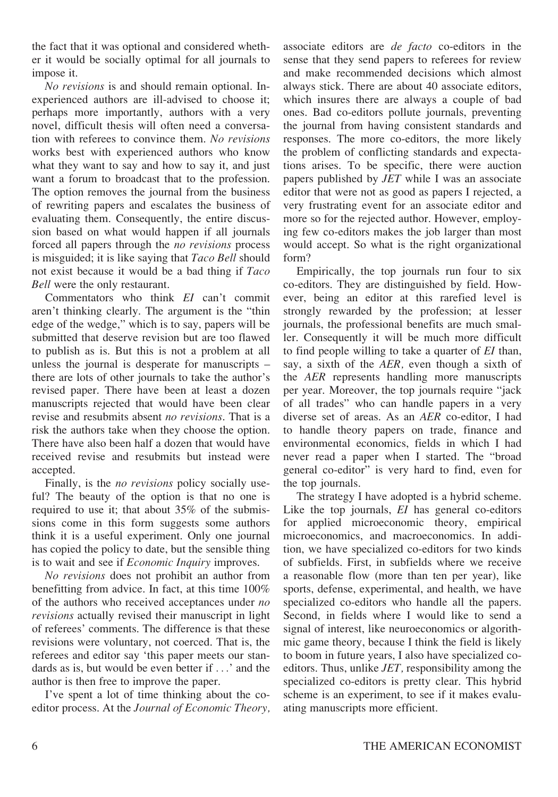the fact that it was optional and considered whether it would be socially optimal for all journals to impose it.

No revisions is and should remain optional. Inexperienced authors are ill-advised to choose it; perhaps more importantly, authors with a very novel, difficult thesis will often need a conversation with referees to convince them. No revisions works best with experienced authors who know what they want to say and how to say it, and just want a forum to broadcast that to the profession. The option removes the journal from the business of rewriting papers and escalates the business of evaluating them. Consequently, the entire discussion based on what would happen if all journals forced all papers through the no revisions process is misguided; it is like saying that Taco Bell should not exist because it would be a bad thing if Taco Bell were the only restaurant.

Commentators who think EI can't commit aren't thinking clearly. The argument is the "thin edge of the wedge," which is to say, papers will be submitted that deserve revision but are too flawed to publish as is. But this is not a problem at all unless the journal is desperate for manuscripts – there are lots of other journals to take the author's revised paper. There have been at least a dozen manuscripts rejected that would have been clear revise and resubmits absent no revisions. That is a risk the authors take when they choose the option. There have also been half a dozen that would have received revise and resubmits but instead were accepted.

Finally, is the *no revisions* policy socially useful? The beauty of the option is that no one is required to use it; that about 35% of the submissions come in this form suggests some authors think it is a useful experiment. Only one journal has copied the policy to date, but the sensible thing is to wait and see if Economic Inquiry improves.

No revisions does not prohibit an author from benefitting from advice. In fact, at this time 100% of the authors who received acceptances under no revisions actually revised their manuscript in light of referees' comments. The difference is that these revisions were voluntary, not coerced. That is, the referees and editor say 'this paper meets our standards as is, but would be even better if ...' and the author is then free to improve the paper.

I've spent a lot of time thinking about the coeditor process. At the Journal of Economic Theory, associate editors are de facto co-editors in the sense that they send papers to referees for review and make recommended decisions which almost always stick. There are about 40 associate editors, which insures there are always a couple of bad ones. Bad co-editors pollute journals, preventing the journal from having consistent standards and responses. The more co-editors, the more likely the problem of conflicting standards and expectations arises. To be specific, there were auction papers published by JET while I was an associate editor that were not as good as papers I rejected, a very frustrating event for an associate editor and more so for the rejected author. However, employing few co-editors makes the job larger than most would accept. So what is the right organizational form?

Empirically, the top journals run four to six co-editors. They are distinguished by field. However, being an editor at this rarefied level is strongly rewarded by the profession; at lesser journals, the professional benefits are much smaller. Consequently it will be much more difficult to find people willing to take a quarter of EI than, say, a sixth of the AER, even though a sixth of the AER represents handling more manuscripts per year. Moreover, the top journals require "jack of all trades" who can handle papers in a very diverse set of areas. As an AER co-editor, I had to handle theory papers on trade, finance and environmental economics, fields in which I had never read a paper when I started. The "broad general co-editor" is very hard to find, even for the top journals.

The strategy I have adopted is a hybrid scheme. Like the top journals, EI has general co-editors for applied microeconomic theory, empirical microeconomics, and macroeconomics. In addition, we have specialized co-editors for two kinds of subfields. First, in subfields where we receive a reasonable flow (more than ten per year), like sports, defense, experimental, and health, we have specialized co-editors who handle all the papers. Second, in fields where I would like to send a signal of interest, like neuroeconomics or algorithmic game theory, because I think the field is likely to boom in future years, I also have specialized coeditors. Thus, unlike JET, responsibility among the specialized co-editors is pretty clear. This hybrid scheme is an experiment, to see if it makes evaluating manuscripts more efficient.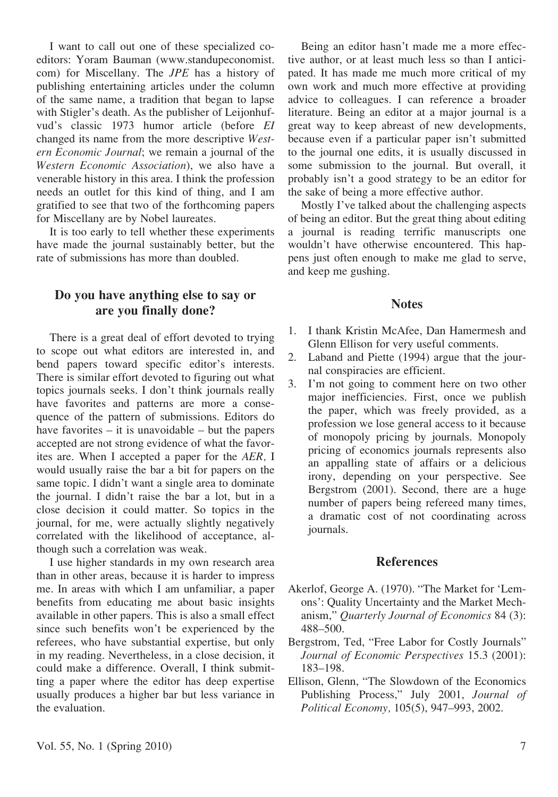I want to call out one of these specialized coeditors: Yoram Bauman (www.standupeconomist. com) for Miscellany. The JPE has a history of publishing entertaining articles under the column of the same name, a tradition that began to lapse with Stigler's death. As the publisher of Leijonhufvud's classic 1973 humor article (before EI changed its name from the more descriptive Western Economic Journal; we remain a journal of the Western Economic Association), we also have a venerable history in this area. I think the profession needs an outlet for this kind of thing, and I am gratified to see that two of the forthcoming papers for Miscellany are by Nobel laureates.

It is too early to tell whether these experiments have made the journal sustainably better, but the rate of submissions has more than doubled.

### Do you have anything else to say or are you finally done?

There is a great deal of effort devoted to trying to scope out what editors are interested in, and bend papers toward specific editor's interests. There is similar effort devoted to figuring out what topics journals seeks. I don't think journals really have favorites and patterns are more a consequence of the pattern of submissions. Editors do have favorites – it is unavoidable – but the papers accepted are not strong evidence of what the favorites are. When I accepted a paper for the AER, I would usually raise the bar a bit for papers on the same topic. I didn't want a single area to dominate the journal. I didn't raise the bar a lot, but in a close decision it could matter. So topics in the journal, for me, were actually slightly negatively correlated with the likelihood of acceptance, although such a correlation was weak.

I use higher standards in my own research area than in other areas, because it is harder to impress me. In areas with which I am unfamiliar, a paper benefits from educating me about basic insights available in other papers. This is also a small effect since such benefits won't be experienced by the referees, who have substantial expertise, but only in my reading. Nevertheless, in a close decision, it could make a difference. Overall, I think submitting a paper where the editor has deep expertise usually produces a higher bar but less variance in the evaluation.

Being an editor hasn't made me a more effective author, or at least much less so than I anticipated. It has made me much more critical of my own work and much more effective at providing advice to colleagues. I can reference a broader literature. Being an editor at a major journal is a great way to keep abreast of new developments, because even if a particular paper isn't submitted to the journal one edits, it is usually discussed in some submission to the journal. But overall, it probably isn't a good strategy to be an editor for the sake of being a more effective author.

Mostly I've talked about the challenging aspects of being an editor. But the great thing about editing a journal is reading terrific manuscripts one wouldn't have otherwise encountered. This happens just often enough to make me glad to serve, and keep me gushing.

#### **Notes**

- 1. I thank Kristin McAfee, Dan Hamermesh and Glenn Ellison for very useful comments.
- 2. Laband and Piette (1994) argue that the journal conspiracies are efficient.
- 3. I'm not going to comment here on two other major inefficiencies. First, once we publish the paper, which was freely provided, as a profession we lose general access to it because of monopoly pricing by journals. Monopoly pricing of economics journals represents also an appalling state of affairs or a delicious irony, depending on your perspective. See Bergstrom (2001). Second, there are a huge number of papers being refereed many times, a dramatic cost of not coordinating across journals.

#### References

- Akerlof, George A. (1970). "The Market for 'Lemons': Quality Uncertainty and the Market Mechanism," Quarterly Journal of Economics 84 (3): 488–500.
- Bergstrom, Ted, "Free Labor for Costly Journals" Journal of Economic Perspectives 15.3 (2001): 183–198.
- Ellison, Glenn, "The Slowdown of the Economics Publishing Process," July 2001, Journal of Political Economy, 105(5), 947–993, 2002.